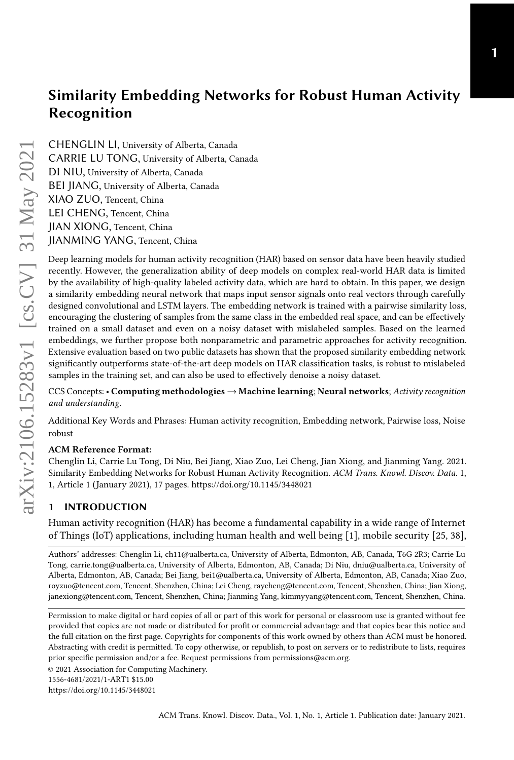CHENGLIN LI, University of Alberta, Canada CARRIE LU TONG, University of Alberta, Canada DI NIU, University of Alberta, Canada BEI JIANG, University of Alberta, Canada XIAO ZUO, Tencent, China LEI CHENG, Tencent, China JIAN XIONG, Tencent, China JIANMING YANG, Tencent, China

Deep learning models for human activity recognition (HAR) based on sensor data have been heavily studied recently. However, the generalization ability of deep models on complex real-world HAR data is limited by the availability of high-quality labeled activity data, which are hard to obtain. In this paper, we design a similarity embedding neural network that maps input sensor signals onto real vectors through carefully designed convolutional and LSTM layers. The embedding network is trained with a pairwise similarity loss, encouraging the clustering of samples from the same class in the embedded real space, and can be effectively trained on a small dataset and even on a noisy dataset with mislabeled samples. Based on the learned embeddings, we further propose both nonparametric and parametric approaches for activity recognition. Extensive evaluation based on two public datasets has shown that the proposed similarity embedding network significantly outperforms state-of-the-art deep models on HAR classification tasks, is robust to mislabeled samples in the training set, and can also be used to effectively denoise a noisy dataset.

CCS Concepts: • Computing methodologies → Machine learning; Neural networks; Activity recognition and understanding.

Additional Key Words and Phrases: Human activity recognition, Embedding network, Pairwise loss, Noise robust

#### ACM Reference Format:

Chenglin Li, Carrie Lu Tong, Di Niu, Bei Jiang, Xiao Zuo, Lei Cheng, Jian Xiong, and Jianming Yang. 2021. Similarity Embedding Networks for Robust Human Activity Recognition. ACM Trans. Knowl. Discov. Data. 1, 1, Article 1 (January 2021), [17](#page-16-0) pages.<https://doi.org/10.1145/3448021>

## **INTRODUCTION**

Human activity recognition (HAR) has become a fundamental capability in a wide range of Internet of Things (IoT) applications, including human health and well being [\[1\]](#page-14-0), mobile security [\[25,](#page-15-0) [38\]](#page-16-1),

Authors' addresses: Chenglin Li, ch11@ualberta.ca, University of Alberta, Edmonton, AB, Canada, T6G 2R3; Carrie Lu Tong, carrie.tong@ualberta.ca, University of Alberta, Edmonton, AB, Canada; Di Niu, dniu@ualberta.ca, University of Alberta, Edmonton, AB, Canada; Bei Jiang, bei1@ualberta.ca, University of Alberta, Edmonton, AB, Canada; Xiao Zuo, royzuo@tencent.com, Tencent, Shenzhen, China; Lei Cheng, raycheng@tencent.com, Tencent, Shenzhen, China; Jian Xiong, janexiong@tencent.com, Tencent, Shenzhen, China; Jianming Yang, kimmyyang@tencent.com, Tencent, Shenzhen, China.

Permission to make digital or hard copies of all or part of this work for personal or classroom use is granted without fee provided that copies are not made or distributed for profit or commercial advantage and that copies bear this notice and the full citation on the first page. Copyrights for components of this work owned by others than ACM must be honored. Abstracting with credit is permitted. To copy otherwise, or republish, to post on servers or to redistribute to lists, requires prior specific permission and/or a fee. Request permissions from permissions@acm.org.

© 2021 Association for Computing Machinery.

<https://doi.org/10.1145/3448021>

<sup>1556-4681/2021/1-</sup>ART1 \$15.00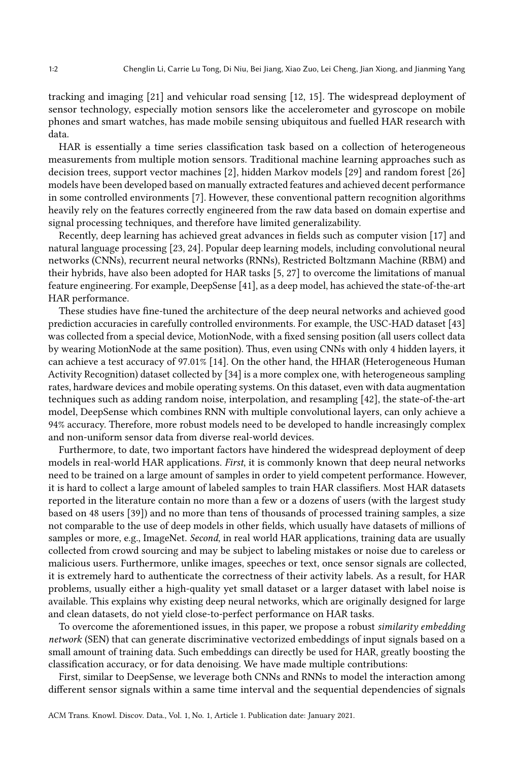tracking and imaging [\[21\]](#page-15-1) and vehicular road sensing [\[12,](#page-15-2) [15\]](#page-15-3). The widespread deployment of sensor technology, especially motion sensors like the accelerometer and gyroscope on mobile phones and smart watches, has made mobile sensing ubiquitous and fuelled HAR research with data.

HAR is essentially a time series classification task based on a collection of heterogeneous measurements from multiple motion sensors. Traditional machine learning approaches such as decision trees, support vector machines [\[2\]](#page-14-1), hidden Markov models [\[29\]](#page-16-2) and random forest [\[26\]](#page-15-4) models have been developed based on manually extracted features and achieved decent performance in some controlled environments [\[7\]](#page-15-5). However, these conventional pattern recognition algorithms heavily rely on the features correctly engineered from the raw data based on domain expertise and signal processing techniques, and therefore have limited generalizability.

Recently, deep learning has achieved great advances in fields such as computer vision [\[17\]](#page-15-6) and natural language processing [\[23,](#page-15-7) [24\]](#page-15-8). Popular deep learning models, including convolutional neural networks (CNNs), recurrent neural networks (RNNs), Restricted Boltzmann Machine (RBM) and their hybrids, have also been adopted for HAR tasks [\[5,](#page-15-9) [27\]](#page-15-10) to overcome the limitations of manual feature engineering. For example, DeepSense [\[41\]](#page-16-3), as a deep model, has achieved the state-of-the-art HAR performance.

These studies have fine-tuned the architecture of the deep neural networks and achieved good prediction accuracies in carefully controlled environments. For example, the USC-HAD dataset [\[43\]](#page-16-4) was collected from a special device, MotionNode, with a fixed sensing position (all users collect data by wearing MotionNode at the same position). Thus, even using CNNs with only 4 hidden layers, it can achieve a test accuracy of 97.01% [\[14\]](#page-15-11). On the other hand, the HHAR (Heterogeneous Human Activity Recognition) dataset collected by [\[34\]](#page-16-5) is a more complex one, with heterogeneous sampling rates, hardware devices and mobile operating systems. On this dataset, even with data augmentation techniques such as adding random noise, interpolation, and resampling [\[42\]](#page-16-6), the state-of-the-art model, DeepSense which combines RNN with multiple convolutional layers, can only achieve a 94% accuracy. Therefore, more robust models need to be developed to handle increasingly complex and non-uniform sensor data from diverse real-world devices.

Furthermore, to date, two important factors have hindered the widespread deployment of deep models in real-world HAR applications. First, it is commonly known that deep neural networks need to be trained on a large amount of samples in order to yield competent performance. However, it is hard to collect a large amount of labeled samples to train HAR classifiers. Most HAR datasets reported in the literature contain no more than a few or a dozens of users (with the largest study based on 48 users [\[39\]](#page-16-7)) and no more than tens of thousands of processed training samples, a size not comparable to the use of deep models in other fields, which usually have datasets of millions of samples or more, e.g., ImageNet. Second, in real world HAR applications, training data are usually collected from crowd sourcing and may be subject to labeling mistakes or noise due to careless or malicious users. Furthermore, unlike images, speeches or text, once sensor signals are collected, it is extremely hard to authenticate the correctness of their activity labels. As a result, for HAR problems, usually either a high-quality yet small dataset or a larger dataset with label noise is available. This explains why existing deep neural networks, which are originally designed for large and clean datasets, do not yield close-to-perfect performance on HAR tasks.

To overcome the aforementioned issues, in this paper, we propose a robust *similarity embedding* network (SEN) that can generate discriminative vectorized embeddings of input signals based on a small amount of training data. Such embeddings can directly be used for HAR, greatly boosting the classification accuracy, or for data denoising. We have made multiple contributions:

First, similar to DeepSense, we leverage both CNNs and RNNs to model the interaction among different sensor signals within a same time interval and the sequential dependencies of signals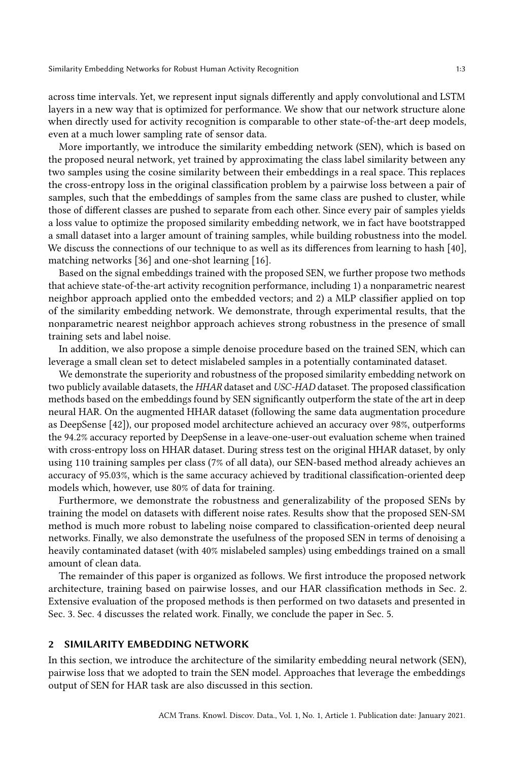across time intervals. Yet, we represent input signals differently and apply convolutional and LSTM layers in a new way that is optimized for performance. We show that our network structure alone when directly used for activity recognition is comparable to other state-of-the-art deep models, even at a much lower sampling rate of sensor data.

More importantly, we introduce the similarity embedding network (SEN), which is based on the proposed neural network, yet trained by approximating the class label similarity between any two samples using the cosine similarity between their embeddings in a real space. This replaces the cross-entropy loss in the original classification problem by a pairwise loss between a pair of samples, such that the embeddings of samples from the same class are pushed to cluster, while those of different classes are pushed to separate from each other. Since every pair of samples yields a loss value to optimize the proposed similarity embedding network, we in fact have bootstrapped a small dataset into a larger amount of training samples, while building robustness into the model. We discuss the connections of our technique to as well as its differences from learning to hash [\[40\]](#page-16-8), matching networks [\[36\]](#page-16-9) and one-shot learning [\[16\]](#page-15-12).

Based on the signal embeddings trained with the proposed SEN, we further propose two methods that achieve state-of-the-art activity recognition performance, including 1) a nonparametric nearest neighbor approach applied onto the embedded vectors; and 2) a MLP classifier applied on top of the similarity embedding network. We demonstrate, through experimental results, that the nonparametric nearest neighbor approach achieves strong robustness in the presence of small training sets and label noise.

In addition, we also propose a simple denoise procedure based on the trained SEN, which can leverage a small clean set to detect mislabeled samples in a potentially contaminated dataset.

We demonstrate the superiority and robustness of the proposed similarity embedding network on two publicly available datasets, the HHAR dataset and USC-HAD dataset. The proposed classification methods based on the embeddings found by SEN significantly outperform the state of the art in deep neural HAR. On the augmented HHAR dataset (following the same data augmentation procedure as DeepSense [\[42\]](#page-16-6)), our proposed model architecture achieved an accuracy over 98%, outperforms the 94.2% accuracy reported by DeepSense in a leave-one-user-out evaluation scheme when trained with cross-entropy loss on HHAR dataset. During stress test on the original HHAR dataset, by only using 110 training samples per class (7% of all data), our SEN-based method already achieves an accuracy of 95.03%, which is the same accuracy achieved by traditional classification-oriented deep models which, however, use 80% of data for training.

Furthermore, we demonstrate the robustness and generalizability of the proposed SENs by training the model on datasets with different noise rates. Results show that the proposed SEN-SM method is much more robust to labeling noise compared to classification-oriented deep neural networks. Finally, we also demonstrate the usefulness of the proposed SEN in terms of denoising a heavily contaminated dataset (with 40% mislabeled samples) using embeddings trained on a small amount of clean data.

The remainder of this paper is organized as follows. We first introduce the proposed network architecture, training based on pairwise losses, and our HAR classification methods in Sec. [2.](#page-2-0) Extensive evaluation of the proposed methods is then performed on two datasets and presented in Sec. [3.](#page-7-0) Sec. [4](#page-13-0) discusses the related work. Finally, we conclude the paper in Sec. [5.](#page-14-2)

#### <span id="page-2-0"></span>2 SIMILARITY EMBEDDING NETWORK

In this section, we introduce the architecture of the similarity embedding neural network (SEN), pairwise loss that we adopted to train the SEN model. Approaches that leverage the embeddings output of SEN for HAR task are also discussed in this section.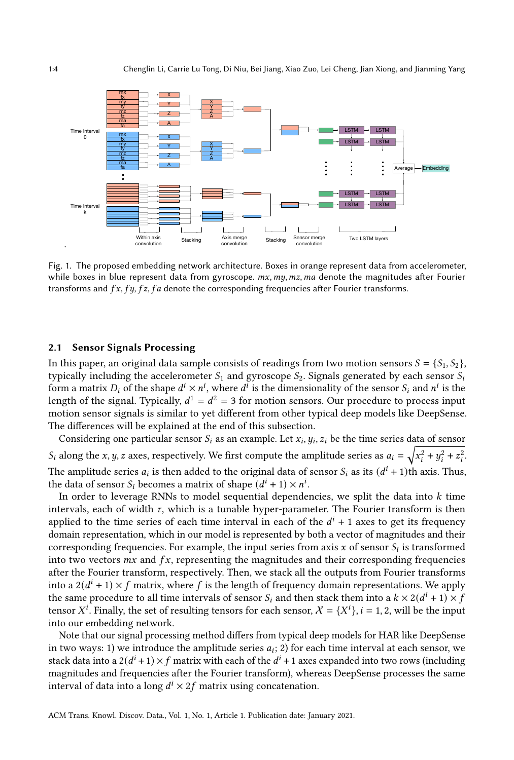<span id="page-3-0"></span>

Fig. 1. The proposed embedding network architecture. Boxes in orange represent data from accelerometer, while boxes in blue represent data from gyroscope.  $mx, my, mz, ma$  denote the magnitudes after Fourier transforms and  $fx, fy, fz, fa$  denote the corresponding frequencies after Fourier transforms.

#### 2.1 Sensor Signals Processing

In this paper, an original data sample consists of readings from two motion sensors  $S = \{S_1, S_2\}$ , typically including the accelerometer  $S_1$  and gyroscope  $S_2$ . Signals generated by each sensor  $S_i$ form a matrix  $D_i$  of the shape  $d^i \times n^i$ , where  $d^i$  is the dimensionality of the sensor  $S_i$  and  $n^i$  is the length of the signal. Typically,  $d^1 = d^2 = 3$  for motion sensors. Our procedure to process input motion sensor signals is similar to yet different from other typical deep models like DeepSense. The differences will be explained at the end of this subsection.

Considering one particular sensor  $S_i$  as an example. Let  $x_i, y_i, z_i$  be the time series data of sensor  $S_i$  along the x, y, z axes, respectively. We first compute the amplitude series as  $a_i = \sqrt{x_i^2 + y_i^2 + z_i^2}$ . The amplitude series  $a_i$  is then added to the original data of sensor  $S_i$  as its  $(d^i + 1)$ th axis. Thus, the data of sensor  $S_i$  becomes a matrix of shape  $(d^i + 1) \times n^i$ .

In order to leverage RNNs to model sequential dependencies, we split the data into  $k$  time intervals, each of width  $\tau$ , which is a tunable hyper-parameter. The Fourier transform is then applied to the time series of each time interval in each of the  $d^{i} + 1$  axes to get its frequency domain representation, which in our model is represented by both a vector of magnitudes and their corresponding frequencies. For example, the input series from axis x of sensor  $S_i$  is transformed into two vectors  $mx$  and  $fx$ , representing the magnitudes and their corresponding frequencies after the Fourier transform, respectively. Then, we stack all the outputs from Fourier transforms into a  $2(d^{i} + 1) \times f$  matrix, where f is the length of frequency domain representations. We apply the same procedure to all time intervals of sensor  $S_i$  and then stack them into a  $k \times 2(d^i + 1) \times f$ tensor  $X^i$ . Finally, the set of resulting tensors for each sensor,  $X = \{X^i\}$ ,  $i = 1, 2$ , will be the input into our embedding network.

Note that our signal processing method differs from typical deep models for HAR like DeepSense in two ways: 1) we introduce the amplitude series  $a_i$ ; 2) for each time interval at each sensor, we stack data into a  $2(d^i + 1) \times f$  matrix with each of the  $d^i + 1$  axes expanded into two rows (including magnitudes and frequencies after the Fourier transform), whereas DeepSense processes the same interval of data into a long  $d^i \times 2f$  matrix using concatenation.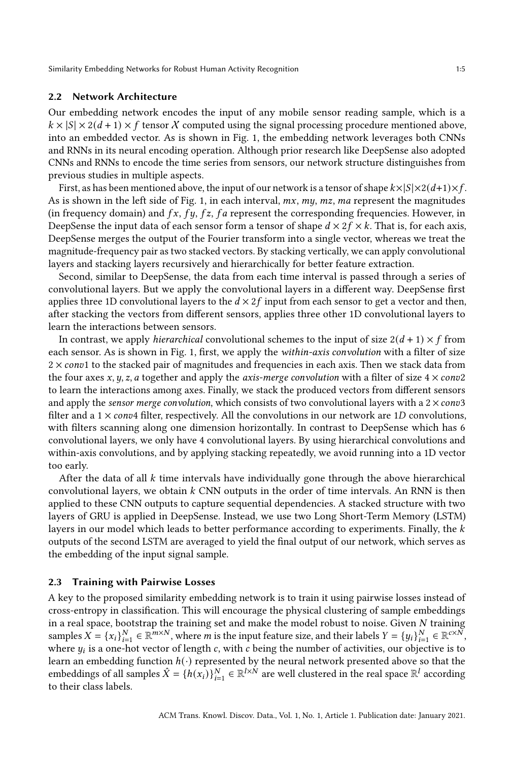#### 2.2 Network Architecture

Our embedding network encodes the input of any mobile sensor reading sample, which is a  $k \times |S| \times 2(d+1) \times f$  tensor X computed using the signal processing procedure mentioned above, into an embedded vector. As is shown in Fig. [1,](#page-3-0) the embedding network leverages both CNNs and RNNs in its neural encoding operation. Although prior research like DeepSense also adopted CNNs and RNNs to encode the time series from sensors, our network structure distinguishes from previous studies in multiple aspects.

First, as has been mentioned above, the input of our network is a tensor of shape  $k \times |S| \times 2(d+1) \times f$ . As is shown in the left side of Fig. [1,](#page-3-0) in each interval,  $mx, my, mz, ma$  represent the magnitudes (in frequency domain) and  $fx, fy, fz, fa$  represent the corresponding frequencies. However, in DeepSense the input data of each sensor form a tensor of shape  $d \times 2f \times k$ . That is, for each axis, DeepSense merges the output of the Fourier transform into a single vector, whereas we treat the magnitude-frequency pair as two stacked vectors. By stacking vertically, we can apply convolutional layers and stacking layers recursively and hierarchically for better feature extraction.

Second, similar to DeepSense, the data from each time interval is passed through a series of convolutional layers. But we apply the convolutional layers in a different way. DeepSense first applies three 1D convolutional layers to the  $d \times 2f$  input from each sensor to get a vector and then, after stacking the vectors from different sensors, applies three other 1D convolutional layers to learn the interactions between sensors.

In contrast, we apply *hierarchical* convolutional schemes to the input of size  $2(d + 1) \times f$  from each sensor. As is shown in Fig. [1,](#page-3-0) first, we apply the *within-axis convolution* with a filter of size  $2 \times \text{conv1}$  to the stacked pair of magnitudes and frequencies in each axis. Then we stack data from the four axes x, y, z, a together and apply the *axis-merge convolution* with a filter of size  $4 \times \text{conv2}$ to learn the interactions among axes. Finally, we stack the produced vectors from different sensors and apply the *sensor merge convolution*, which consists of two convolutional layers with a  $2 \times \text{conv3}$ filter and a  $1 \times \text{conv4}$  filter, respectively. All the convolutions in our network are 1D convolutions, with filters scanning along one dimension horizontally. In contrast to DeepSense which has 6 convolutional layers, we only have 4 convolutional layers. By using hierarchical convolutions and within-axis convolutions, and by applying stacking repeatedly, we avoid running into a 1D vector too early.

After the data of all  $k$  time intervals have individually gone through the above hierarchical convolutional layers, we obtain  $k$  CNN outputs in the order of time intervals. An RNN is then applied to these CNN outputs to capture sequential dependencies. A stacked structure with two layers of GRU is applied in DeepSense. Instead, we use two Long Short-Term Memory (LSTM) layers in our model which leads to better performance according to experiments. Finally, the  $k$ outputs of the second LSTM are averaged to yield the final output of our network, which serves as the embedding of the input signal sample.

#### <span id="page-4-0"></span>2.3 Training with Pairwise Losses

A key to the proposed similarity embedding network is to train it using pairwise losses instead of cross-entropy in classification. This will encourage the physical clustering of sample embeddings in a real space, bootstrap the training set and make the model robust to noise. Given  $N$  training samples  $X = \{x_i\}_{i=1}^N \in \mathbb{R}^{m \times N}$ , where m is the input feature size, and their labels  $Y = \{y_i\}_{i=1}^N \in \mathbb{R}^{c \times N}$ , where  $y_i$  is a one-hot vector of length c, with c being the number of activities, our objective is to learn an embedding function  $h(\cdot)$  represented by the neural network presented above so that the embeddings of all samples  $\hat{X} = \{h(x_i)\}_{i=1}^N \in \mathbb{R}^{l \times N}$  are well clustered in the real space  $\mathbb{R}^l$  according to their class labels.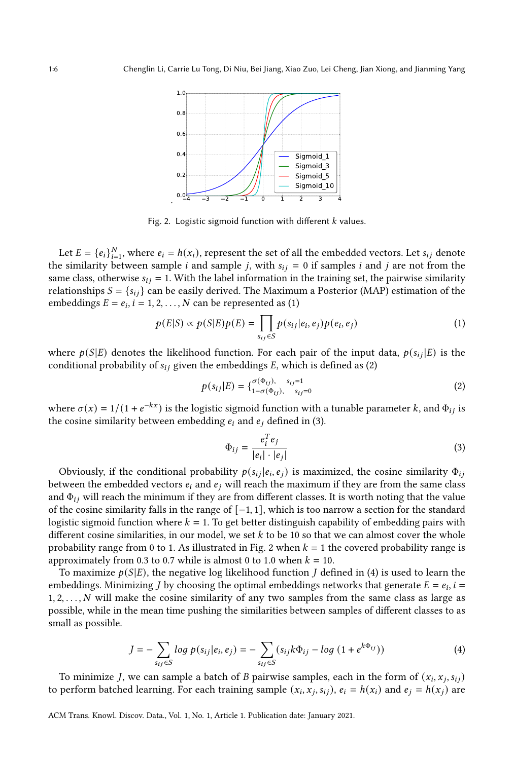<span id="page-5-3"></span>

Fig. 2. Logistic sigmoid function with different  $k$  values.

Let  $E = \{e_i\}_{i=1}^N$ , where  $e_i = h(x_i)$ , represent the set of all the embedded vectors. Let  $s_{ij}$  denote the similarity between sample *i* and sample *j*, with  $s_{ij} = 0$  if samples *i* and *j* are not from the same class, otherwise  $s_{ij} = 1$ . With the label information in the training set, the pairwise similarity relationships  $S = \{s_{ij}\}\$ can be easily derived. The Maximum a Posterior (MAP) estimation of the embeddings  $E = e_i$ ,  $i = 1, 2, ..., N$  can be represented as [\(1\)](#page-5-0)

<span id="page-5-0"></span>
$$
p(E|S) \propto p(S|E)p(E) = \prod_{s_{ij} \in S} p(s_{ij}|e_i, e_j)p(e_i, e_j)
$$
 (1)

where  $p(S|E)$  denotes the likelihood function. For each pair of the input data,  $p(s_{ij}|E)$  is the conditional probability of  $s_{ij}$  given the embeddings E, which is defined as [\(2\)](#page-5-1)

<span id="page-5-1"></span>
$$
p(s_{ij}|E) = \{ \begin{matrix} \sigma(\Phi_{ij}), & s_{ij}=1 \\ 1 - \sigma(\Phi_{ij}), & s_{ij}=0 \end{matrix} \tag{2}
$$

where  $\sigma(x) = 1/(1 + e^{-kx})$  is the logistic sigmoid function with a tunable parameter k, and  $\Phi_{ij}$  is the cosine similarity between embedding  $e_i$  and  $e_j$  defined in [\(3\)](#page-5-2).

<span id="page-5-2"></span>
$$
\Phi_{ij} = \frac{e_i^T e_j}{|e_i| \cdot |e_j|} \tag{3}
$$

Obviously, if the conditional probability  $p(s_{ij} | e_i, e_j)$  is maximized, the cosine similarity  $\Phi_{ij}$ between the embedded vectors  $e_i$  and  $e_j$  will reach the maximum if they are from the same class and  $\Phi_{ij}$  will reach the minimum if they are from different classes. It is worth noting that the value of the cosine similarity falls in the range of [−1, 1], which is too narrow a section for the standard logistic sigmoid function where  $k = 1$ . To get better distinguish capability of embedding pairs with different cosine similarities, in our model, we set  $k$  to be 10 so that we can almost cover the whole probability range from 0 to 1. As illustrated in Fig. [2](#page-5-3) when  $k = 1$  the covered probability range is approximately from 0.3 to 0.7 while is almost 0 to 1.0 when  $k = 10$ .

To maximize  $p(S|E)$ , the negative log likelihood function *J* defined in [\(4\)](#page-5-4) is used to learn the embeddings. Minimizing *J* by choosing the optimal embeddings networks that generate  $E = e_i$ ,  $i =$  $1, 2, \ldots, N$  will make the cosine similarity of any two samples from the same class as large as possible, while in the mean time pushing the similarities between samples of different classes to as small as possible.

<span id="page-5-4"></span>
$$
J = -\sum_{s_{ij} \in S} \log p(s_{ij}|e_i, e_j) = -\sum_{s_{ij} \in S} (s_{ij}k\Phi_{ij} - \log (1 + e^{k\Phi_{ij}}))
$$
(4)

To minimize J, we can sample a batch of B pairwise samples, each in the form of  $(x_i, x_j, s_{ij})$ to perform batched learning. For each training sample  $(x_i, x_j, s_{ij})$ ,  $e_i = h(x_i)$  and  $e_j = h(x_j)$  are

ACM Trans. Knowl. Discov. Data., Vol. 1, No. 1, Article 1. Publication date: January 2021.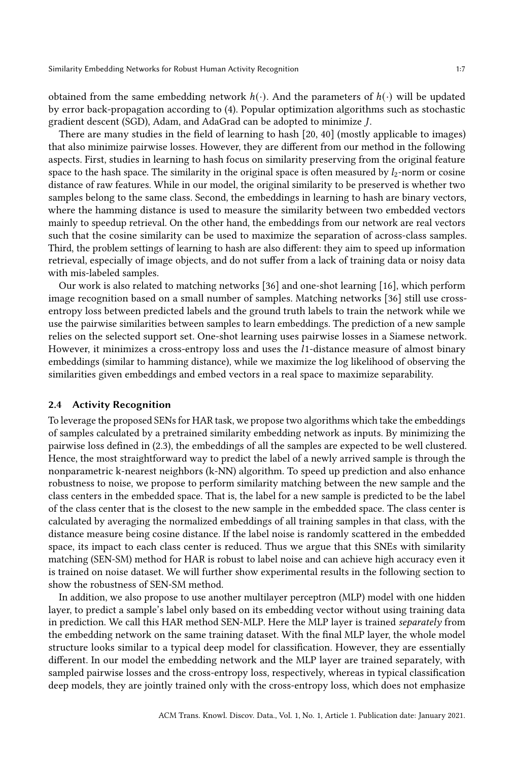obtained from the same embedding network  $h(\cdot)$ . And the parameters of  $h(\cdot)$  will be updated by error back-propagation according to [\(4\)](#page-5-4). Popular optimization algorithms such as stochastic gradient descent (SGD), Adam, and AdaGrad can be adopted to minimize J.

There are many studies in the field of learning to hash [\[20,](#page-15-13) [40\]](#page-16-8) (mostly applicable to images) that also minimize pairwise losses. However, they are different from our method in the following aspects. First, studies in learning to hash focus on similarity preserving from the original feature space to the hash space. The similarity in the original space is often measured by  $l_2$ -norm or cosine distance of raw features. While in our model, the original similarity to be preserved is whether two samples belong to the same class. Second, the embeddings in learning to hash are binary vectors, where the hamming distance is used to measure the similarity between two embedded vectors mainly to speedup retrieval. On the other hand, the embeddings from our network are real vectors such that the cosine similarity can be used to maximize the separation of across-class samples. Third, the problem settings of learning to hash are also different: they aim to speed up information retrieval, especially of image objects, and do not suffer from a lack of training data or noisy data with mis-labeled samples.

Our work is also related to matching networks [\[36\]](#page-16-9) and one-shot learning [\[16\]](#page-15-12), which perform image recognition based on a small number of samples. Matching networks [\[36\]](#page-16-9) still use crossentropy loss between predicted labels and the ground truth labels to train the network while we use the pairwise similarities between samples to learn embeddings. The prediction of a new sample relies on the selected support set. One-shot learning uses pairwise losses in a Siamese network. However, it minimizes a cross-entropy loss and uses the 1-distance measure of almost binary embeddings (similar to hamming distance), while we maximize the log likelihood of observing the similarities given embeddings and embed vectors in a real space to maximize separability.

## 2.4 Activity Recognition

To leverage the proposed SENs for HAR task, we propose two algorithms which take the embeddings of samples calculated by a pretrained similarity embedding network as inputs. By minimizing the pairwise loss defined in [\(2.3\)](#page-4-0), the embeddings of all the samples are expected to be well clustered. Hence, the most straightforward way to predict the label of a newly arrived sample is through the nonparametric k-nearest neighbors (k-NN) algorithm. To speed up prediction and also enhance robustness to noise, we propose to perform similarity matching between the new sample and the class centers in the embedded space. That is, the label for a new sample is predicted to be the label of the class center that is the closest to the new sample in the embedded space. The class center is calculated by averaging the normalized embeddings of all training samples in that class, with the distance measure being cosine distance. If the label noise is randomly scattered in the embedded space, its impact to each class center is reduced. Thus we argue that this SNEs with similarity matching (SEN-SM) method for HAR is robust to label noise and can achieve high accuracy even it is trained on noise dataset. We will further show experimental results in the following section to show the robustness of SEN-SM method.

In addition, we also propose to use another multilayer perceptron (MLP) model with one hidden layer, to predict a sample's label only based on its embedding vector without using training data in prediction. We call this HAR method SEN-MLP. Here the MLP layer is trained separately from the embedding network on the same training dataset. With the final MLP layer, the whole model structure looks similar to a typical deep model for classification. However, they are essentially different. In our model the embedding network and the MLP layer are trained separately, with sampled pairwise losses and the cross-entropy loss, respectively, whereas in typical classification deep models, they are jointly trained only with the cross-entropy loss, which does not emphasize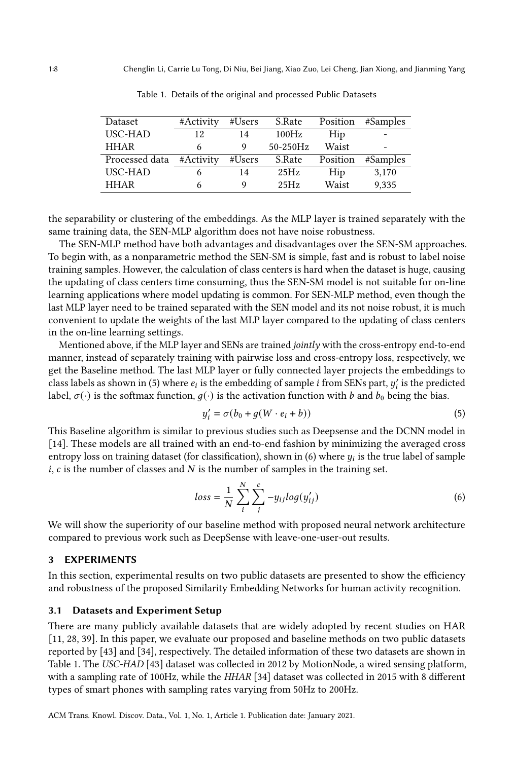<span id="page-7-3"></span>

| Dataset        | #Activity | #Users | S.Rate      | Position | #Samples |
|----------------|-----------|--------|-------------|----------|----------|
| USC-HAD        | 12        | 14     | 100Hz       | Hip      |          |
| <b>HHAR</b>    |           | Q      | $50-250$ Hz | Waist    |          |
| Processed data | #Activity | #Users | S.Rate      | Position | #Samples |
| USC-HAD        |           | 14     | 25Hz        | Hip      | 3,170    |
| <b>HHAR</b>    | b         | Q      | 25Hz        | Waist    | 9,335    |

Table 1. Details of the original and processed Public Datasets

the separability or clustering of the embeddings. As the MLP layer is trained separately with the same training data, the SEN-MLP algorithm does not have noise robustness.

The SEN-MLP method have both advantages and disadvantages over the SEN-SM approaches. To begin with, as a nonparametric method the SEN-SM is simple, fast and is robust to label noise training samples. However, the calculation of class centers is hard when the dataset is huge, causing the updating of class centers time consuming, thus the SEN-SM model is not suitable for on-line learning applications where model updating is common. For SEN-MLP method, even though the last MLP layer need to be trained separated with the SEN model and its not noise robust, it is much convenient to update the weights of the last MLP layer compared to the updating of class centers in the on-line learning settings.

Mentioned above, if the MLP layer and SENs are trained jointly with the cross-entropy end-to-end manner, instead of separately training with pairwise loss and cross-entropy loss, respectively, we get the Baseline method. The last MLP layer or fully connected layer projects the embeddings to class labels as shown in [\(5\)](#page-7-1) where  $e_i$  is the embedding of sample *i* from SENs part,  $y'_i$  is the predicted label,  $\sigma(\cdot)$  is the softmax function,  $q(\cdot)$  is the activation function with b and  $b_0$  being the bias.

<span id="page-7-1"></span>
$$
y_i' = \sigma(b_0 + g(W \cdot e_i + b))
$$
\n<sup>(5)</sup>

This Baseline algorithm is similar to previous studies such as Deepsense and the DCNN model in [\[14\]](#page-15-11). These models are all trained with an end-to-end fashion by minimizing the averaged cross entropy loss on training dataset (for classification), shown in [\(6\)](#page-7-2) where  $y_i$  is the true label of sample  $i, c$  is the number of classes and  $N$  is the number of samples in the training set.

<span id="page-7-2"></span>
$$
loss = \frac{1}{N} \sum_{i}^{N} \sum_{j}^{c} -y_{ij} log(y'_{ij})
$$
\n(6)

We will show the superiority of our baseline method with proposed neural network architecture compared to previous work such as DeepSense with leave-one-user-out results.

## <span id="page-7-0"></span>3 EXPERIMENTS

In this section, experimental results on two public datasets are presented to show the efficiency and robustness of the proposed Similarity Embedding Networks for human activity recognition.

#### 3.1 Datasets and Experiment Setup

There are many publicly available datasets that are widely adopted by recent studies on HAR [\[11,](#page-15-14) [28,](#page-16-10) [39\]](#page-16-7). In this paper, we evaluate our proposed and baseline methods on two public datasets reported by [\[43\]](#page-16-4) and [\[34\]](#page-16-5), respectively. The detailed information of these two datasets are shown in Table [1.](#page-7-3) The USC-HAD [\[43\]](#page-16-4) dataset was collected in 2012 by MotionNode, a wired sensing platform, with a sampling rate of 100Hz, while the HHAR [\[34\]](#page-16-5) dataset was collected in 2015 with 8 different types of smart phones with sampling rates varying from 50Hz to 200Hz.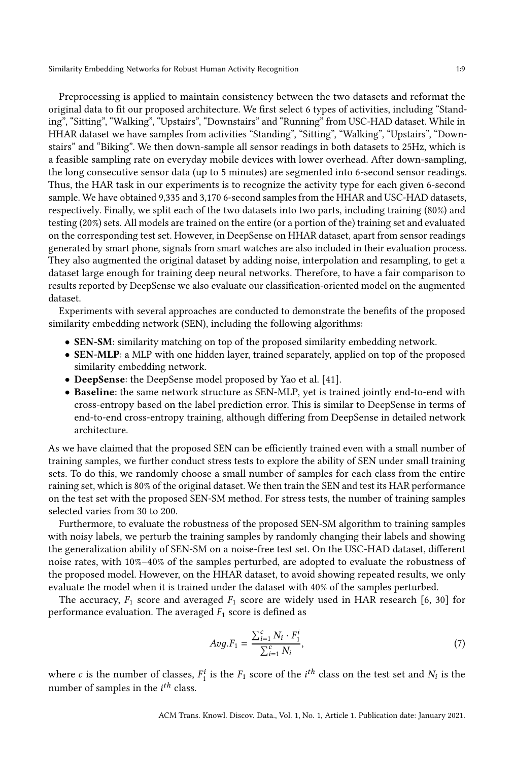Preprocessing is applied to maintain consistency between the two datasets and reformat the original data to fit our proposed architecture. We first select 6 types of activities, including "Standing", "Sitting", "Walking", "Upstairs", "Downstairs" and "Running" from USC-HAD dataset. While in HHAR dataset we have samples from activities "Standing", "Sitting", "Walking", "Upstairs", "Downstairs" and "Biking". We then down-sample all sensor readings in both datasets to 25Hz, which is a feasible sampling rate on everyday mobile devices with lower overhead. After down-sampling, the long consecutive sensor data (up to 5 minutes) are segmented into 6-second sensor readings. Thus, the HAR task in our experiments is to recognize the activity type for each given 6-second sample. We have obtained 9,335 and 3,170 6-second samples from the HHAR and USC-HAD datasets, respectively. Finally, we split each of the two datasets into two parts, including training (80%) and testing (20%) sets. All models are trained on the entire (or a portion of the) training set and evaluated on the corresponding test set. However, in DeepSense on HHAR dataset, apart from sensor readings generated by smart phone, signals from smart watches are also included in their evaluation process. They also augmented the original dataset by adding noise, interpolation and resampling, to get a dataset large enough for training deep neural networks. Therefore, to have a fair comparison to results reported by DeepSense we also evaluate our classification-oriented model on the augmented dataset.

Experiments with several approaches are conducted to demonstrate the benefits of the proposed similarity embedding network (SEN), including the following algorithms:

- SEN-SM: similarity matching on top of the proposed similarity embedding network.
- SEN-MLP: a MLP with one hidden layer, trained separately, applied on top of the proposed similarity embedding network.
- DeepSense: the DeepSense model proposed by Yao et al. [\[41\]](#page-16-3).
- Baseline: the same network structure as SEN-MLP, yet is trained jointly end-to-end with cross-entropy based on the label prediction error. This is similar to DeepSense in terms of end-to-end cross-entropy training, although differing from DeepSense in detailed network architecture.

As we have claimed that the proposed SEN can be efficiently trained even with a small number of training samples, we further conduct stress tests to explore the ability of SEN under small training sets. To do this, we randomly choose a small number of samples for each class from the entire raining set, which is 80% of the original dataset. We then train the SEN and test its HAR performance on the test set with the proposed SEN-SM method. For stress tests, the number of training samples selected varies from 30 to 200.

Furthermore, to evaluate the robustness of the proposed SEN-SM algorithm to training samples with noisy labels, we perturb the training samples by randomly changing their labels and showing the generalization ability of SEN-SM on a noise-free test set. On the USC-HAD dataset, different noise rates, with 10%–40% of the samples perturbed, are adopted to evaluate the robustness of the proposed model. However, on the HHAR dataset, to avoid showing repeated results, we only evaluate the model when it is trained under the dataset with 40% of the samples perturbed.

The accuracy,  $F_1$  score and averaged  $F_1$  score are widely used in HAR research [\[6,](#page-15-15) [30\]](#page-16-11) for performance evaluation. The averaged  $F_1$  score is defined as

$$
Avg.F_1 = \frac{\sum_{i=1}^{c} N_i \cdot F_1^i}{\sum_{i=1}^{c} N_i},\tag{7}
$$

where *c* is the number of classes,  $F_1^i$  $i_1$  is the  $F_1$  score of the  $i^{th}$  class on the test set and  $N_i$  is the number of samples in the  $i^{th}$  class.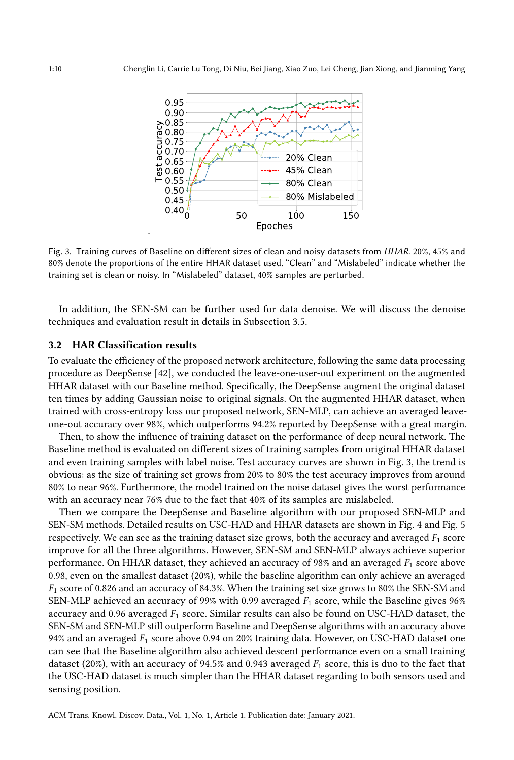<span id="page-9-0"></span>

Fig. 3. Training curves of Baseline on different sizes of clean and noisy datasets from HHAR. 20%, 45% and 80% denote the proportions of the entire HHAR dataset used. "Clean" and "Mislabeled" indicate whether the training set is clean or noisy. In "Mislabeled" dataset, 40% samples are perturbed.

In addition, the SEN-SM can be further used for data denoise. We will discuss the denoise techniques and evaluation result in details in Subsection [3.5.](#page-11-0)

#### 3.2 HAR Classification results

To evaluate the efficiency of the proposed network architecture, following the same data processing procedure as DeepSense [\[42\]](#page-16-6), we conducted the leave-one-user-out experiment on the augmented HHAR dataset with our Baseline method. Specifically, the DeepSense augment the original dataset ten times by adding Gaussian noise to original signals. On the augmented HHAR dataset, when trained with cross-entropy loss our proposed network, SEN-MLP, can achieve an averaged leaveone-out accuracy over 98%, which outperforms 94.2% reported by DeepSense with a great margin.

Then, to show the influence of training dataset on the performance of deep neural network. The Baseline method is evaluated on different sizes of training samples from original HHAR dataset and even training samples with label noise. Test accuracy curves are shown in Fig. [3,](#page-9-0) the trend is obvious: as the size of training set grows from 20% to 80% the test accuracy improves from around 80% to near 96%. Furthermore, the model trained on the noise dataset gives the worst performance with an accuracy near 76% due to the fact that 40% of its samples are mislabeled.

Then we compare the DeepSense and Baseline algorithm with our proposed SEN-MLP and SEN-SM methods. Detailed results on USC-HAD and HHAR datasets are shown in Fig. [4](#page-10-0) and Fig. [5](#page-10-1) respectively. We can see as the training dataset size grows, both the accuracy and averaged  $F_1$  score improve for all the three algorithms. However, SEN-SM and SEN-MLP always achieve superior performance. On HHAR dataset, they achieved an accuracy of 98% and an averaged  $F_1$  score above 0.98, even on the smallest dataset (20%), while the baseline algorithm can only achieve an averaged  $F_1$  score of 0.826 and an accuracy of 84.3%. When the training set size grows to 80% the SEN-SM and SEN-MLP achieved an accuracy of 99% with 0.99 averaged  $F_1$  score, while the Baseline gives 96% accuracy and 0.96 averaged  $F_1$  score. Similar results can also be found on USC-HAD dataset, the SEN-SM and SEN-MLP still outperform Baseline and DeepSense algorithms with an accuracy above 94% and an averaged  $F_1$  score above 0.94 on 20% training data. However, on USC-HAD dataset one can see that the Baseline algorithm also achieved descent performance even on a small training dataset (20%), with an accuracy of 94.5% and 0.943 averaged  $F_1$  score, this is duo to the fact that the USC-HAD dataset is much simpler than the HHAR dataset regarding to both sensors used and sensing position.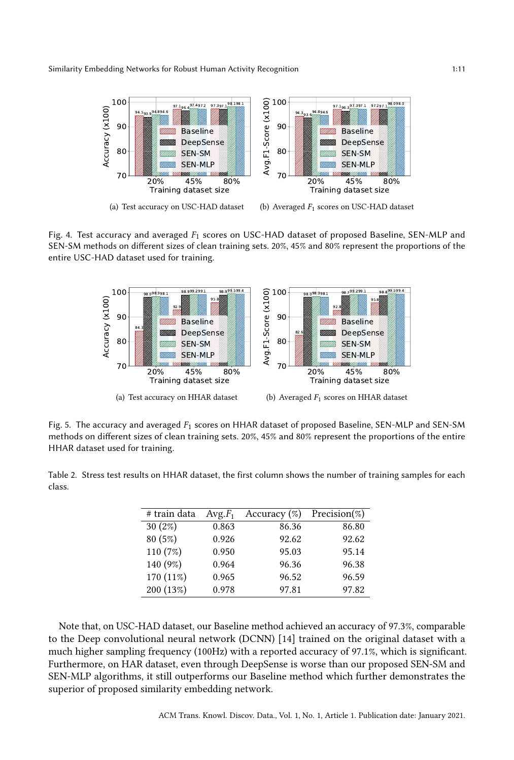<span id="page-10-0"></span>

(a) Test accuracy on USC-HAD dataset

(b) Averaged  $F_1$  scores on USC-HAD dataset

Fig. 4. Test accuracy and averaged  $F_1$  scores on USC-HAD dataset of proposed Baseline, SEN-MLP and SEN-SM methods on different sizes of clean training sets. 20%, 45% and 80% represent the proportions of the entire USC-HAD dataset used for training.

<span id="page-10-1"></span>

Fig. 5. The accuracy and averaged  $F_1$  scores on HHAR dataset of proposed Baseline, SEN-MLP and SEN-SM methods on different sizes of clean training sets. 20%, 45% and 80% represent the proportions of the entire HHAR dataset used for training.

<span id="page-10-2"></span>Table 2. Stress test results on HHAR dataset, the first column shows the number of training samples for each class.

| # train data | $Avg.F_1$ | Accuracy $(\%)$ | Precision $(\%)$ |
|--------------|-----------|-----------------|------------------|
| $30(2\%)$    | 0.863     | 86.36           | 86.80            |
| 80 (5%)      | 0.926     | 92.62           | 92.62            |
| 110 (7%)     | 0.950     | 95.03           | 95.14            |
| 140 (9%)     | 0.964     | 96.36           | 96.38            |
| 170 (11%)    | 0.965     | 96.52           | 96.59            |
| 200 (13%)    | 0.978     | 97.81           | 97.82            |

Note that, on USC-HAD dataset, our Baseline method achieved an accuracy of 97.3%, comparable to the Deep convolutional neural network (DCNN) [\[14\]](#page-15-11) trained on the original dataset with a much higher sampling frequency (100Hz) with a reported accuracy of 97.1%, which is significant. Furthermore, on HAR dataset, even through DeepSense is worse than our proposed SEN-SM and SEN-MLP algorithms, it still outperforms our Baseline method which further demonstrates the superior of proposed similarity embedding network.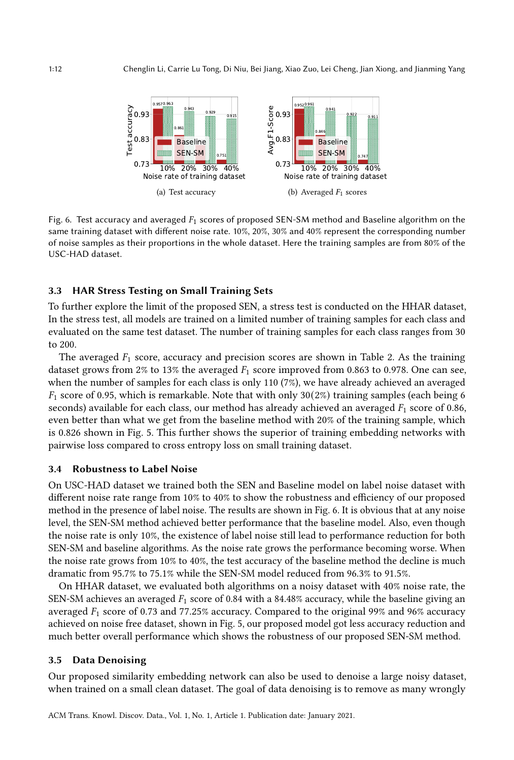<span id="page-11-1"></span>

Fig. 6. Test accuracy and averaged  $F_1$  scores of proposed SEN-SM method and Baseline algorithm on the same training dataset with different noise rate. 10%, 20%, 30% and 40% represent the corresponding number of noise samples as their proportions in the whole dataset. Here the training samples are from 80% of the USC-HAD dataset.

## 3.3 HAR Stress Testing on Small Training Sets

To further explore the limit of the proposed SEN, a stress test is conducted on the HHAR dataset, In the stress test, all models are trained on a limited number of training samples for each class and evaluated on the same test dataset. The number of training samples for each class ranges from 30 to 200.

The averaged  $F_1$  score, accuracy and precision scores are shown in Table [2.](#page-10-2) As the training dataset grows from 2% to 13% the averaged  $F_1$  score improved from 0.863 to 0.978. One can see, when the number of samples for each class is only 110 (7%), we have already achieved an averaged  $F_1$  score of 0.95, which is remarkable. Note that with only 30(2%) training samples (each being 6 seconds) available for each class, our method has already achieved an averaged  $F_1$  score of 0.86, even better than what we get from the baseline method with 20% of the training sample, which is 0.826 shown in Fig. [5.](#page-10-1) This further shows the superior of training embedding networks with pairwise loss compared to cross entropy loss on small training dataset.

### 3.4 Robustness to Label Noise

On USC-HAD dataset we trained both the SEN and Baseline model on label noise dataset with different noise rate range from 10% to 40% to show the robustness and efficiency of our proposed method in the presence of label noise. The results are shown in Fig. [6.](#page-11-1) It is obvious that at any noise level, the SEN-SM method achieved better performance that the baseline model. Also, even though the noise rate is only 10%, the existence of label noise still lead to performance reduction for both SEN-SM and baseline algorithms. As the noise rate grows the performance becoming worse. When the noise rate grows from 10% to 40%, the test accuracy of the baseline method the decline is much dramatic from 95.7% to 75.1% while the SEN-SM model reduced from 96.3% to 91.5%.

On HHAR dataset, we evaluated both algorithms on a noisy dataset with 40% noise rate, the SEN-SM achieves an averaged  $F_1$  score of 0.84 with a 84.48% accuracy, while the baseline giving an averaged  $F_1$  score of 0.73 and 77.25% accuracy. Compared to the original 99% and 96% accuracy achieved on noise free dataset, shown in Fig. [5,](#page-10-1) our proposed model got less accuracy reduction and much better overall performance which shows the robustness of our proposed SEN-SM method.

#### <span id="page-11-0"></span>3.5 Data Denoising

Our proposed similarity embedding network can also be used to denoise a large noisy dataset, when trained on a small clean dataset. The goal of data denoising is to remove as many wrongly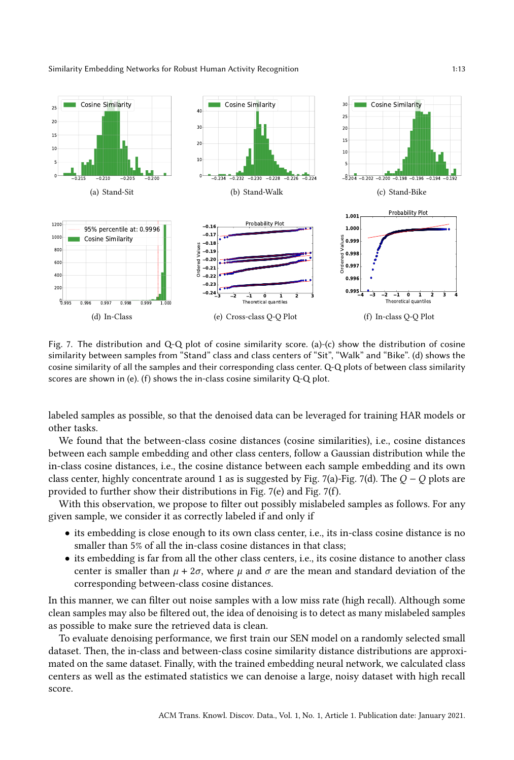

<span id="page-12-0"></span>

<span id="page-12-3"></span><span id="page-12-2"></span><span id="page-12-1"></span>Fig. 7. The distribution and Q-Q plot of cosine similarity score. (a)-(c) show the distribution of cosine similarity between samples from "Stand" class and class centers of "Sit", "Walk" and "Bike". (d) shows the cosine similarity of all the samples and their corresponding class center. Q-Q plots of between class similarity scores are shown in (e). (f) shows the in-class cosine similarity  $Q-Q$  plot.

labeled samples as possible, so that the denoised data can be leveraged for training HAR models or other tasks.

We found that the between-class cosine distances (cosine similarities), i.e., cosine distances between each sample embedding and other class centers, follow a Gaussian distribution while the in-class cosine distances, i.e., the cosine distance between each sample embedding and its own class center, highly concentrate around 1 as is suggested by Fig. [7\(a\)-](#page-12-0)Fig. [7\(d\).](#page-12-1) The  $Q - Q$  plots are provided to further show their distributions in Fig. [7\(e\)](#page-12-2) and Fig. [7\(f\).](#page-12-3)

With this observation, we propose to filter out possibly mislabeled samples as follows. For any given sample, we consider it as correctly labeled if and only if

- its embedding is close enough to its own class center, i.e., its in-class cosine distance is no smaller than 5% of all the in-class cosine distances in that class;
- its embedding is far from all the other class centers, i.e., its cosine distance to another class center is smaller than  $\mu + 2\sigma$ , where  $\mu$  and  $\sigma$  are the mean and standard deviation of the corresponding between-class cosine distances.

In this manner, we can filter out noise samples with a low miss rate (high recall). Although some clean samples may also be filtered out, the idea of denoising is to detect as many mislabeled samples as possible to make sure the retrieved data is clean.

To evaluate denoising performance, we first train our SEN model on a randomly selected small dataset. Then, the in-class and between-class cosine similarity distance distributions are approximated on the same dataset. Finally, with the trained embedding neural network, we calculated class centers as well as the estimated statistics we can denoise a large, noisy dataset with high recall score.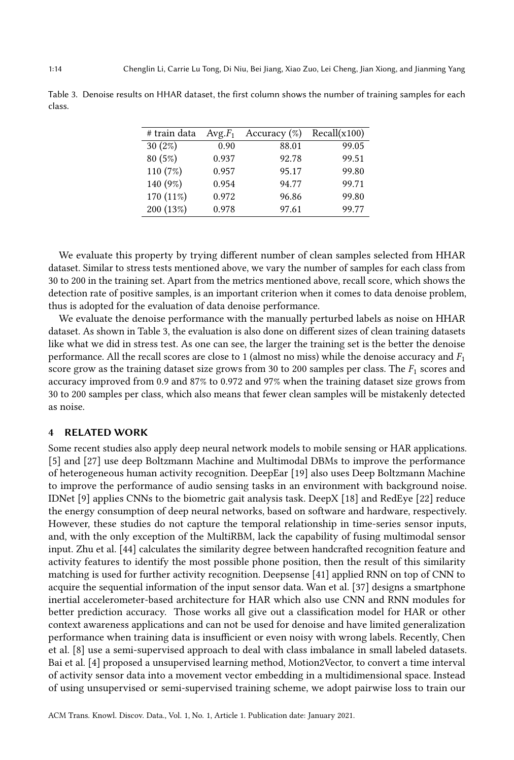<span id="page-13-1"></span>Table 3. Denoise results on HHAR dataset, the first column shows the number of training samples for each class.

| # train data | $Avg.F_1$ | Accuracy $(\%)$ | Recall(x100) |
|--------------|-----------|-----------------|--------------|
| 30(2%)       | 0.90      | 88.01           | 99.05        |
| 80 (5%)      | 0.937     | 92.78           | 99.51        |
| 110 (7%)     | 0.957     | 95.17           | 99.80        |
| 140 (9%)     | 0.954     | 94.77           | 99.71        |
| 170 (11%)    | 0.972     | 96.86           | 99.80        |
| 200 (13%)    | 0.978     | 97.61           | 99.77        |

We evaluate this property by trying different number of clean samples selected from HHAR dataset. Similar to stress tests mentioned above, we vary the number of samples for each class from 30 to 200 in the training set. Apart from the metrics mentioned above, recall score, which shows the detection rate of positive samples, is an important criterion when it comes to data denoise problem, thus is adopted for the evaluation of data denoise performance.

We evaluate the denoise performance with the manually perturbed labels as noise on HHAR dataset. As shown in Table [3,](#page-13-1) the evaluation is also done on different sizes of clean training datasets like what we did in stress test. As one can see, the larger the training set is the better the denoise performance. All the recall scores are close to 1 (almost no miss) while the denoise accuracy and  $F_1$ score grow as the training dataset size grows from 30 to 200 samples per class. The  $F_1$  scores and accuracy improved from 0.9 and 87% to 0.972 and 97% when the training dataset size grows from 30 to 200 samples per class, which also means that fewer clean samples will be mistakenly detected as noise.

#### <span id="page-13-0"></span>4 RELATED WORK

Some recent studies also apply deep neural network models to mobile sensing or HAR applications. [\[5\]](#page-15-9) and [\[27\]](#page-15-10) use deep Boltzmann Machine and Multimodal DBMs to improve the performance of heterogeneous human activity recognition. DeepEar [\[19\]](#page-15-16) also uses Deep Boltzmann Machine to improve the performance of audio sensing tasks in an environment with background noise. IDNet [\[9\]](#page-15-17) applies CNNs to the biometric gait analysis task. DeepX [\[18\]](#page-15-18) and RedEye [\[22\]](#page-15-19) reduce the energy consumption of deep neural networks, based on software and hardware, respectively. However, these studies do not capture the temporal relationship in time-series sensor inputs, and, with the only exception of the MultiRBM, lack the capability of fusing multimodal sensor input. Zhu et al. [\[44\]](#page-16-12) calculates the similarity degree between handcrafted recognition feature and activity features to identify the most possible phone position, then the result of this similarity matching is used for further activity recognition. Deepsense [\[41\]](#page-16-3) applied RNN on top of CNN to acquire the sequential information of the input sensor data. Wan et al. [\[37\]](#page-16-13) designs a smartphone inertial accelerometer-based architecture for HAR which also use CNN and RNN modules for better prediction accuracy. Those works all give out a classification model for HAR or other context awareness applications and can not be used for denoise and have limited generalization performance when training data is insufficient or even noisy with wrong labels. Recently, Chen et al. [\[8\]](#page-15-20) use a semi-supervised approach to deal with class imbalance in small labeled datasets. Bai et al. [\[4\]](#page-14-3) proposed a unsupervised learning method, Motion2Vector, to convert a time interval of activity sensor data into a movement vector embedding in a multidimensional space. Instead of using unsupervised or semi-supervised training scheme, we adopt pairwise loss to train our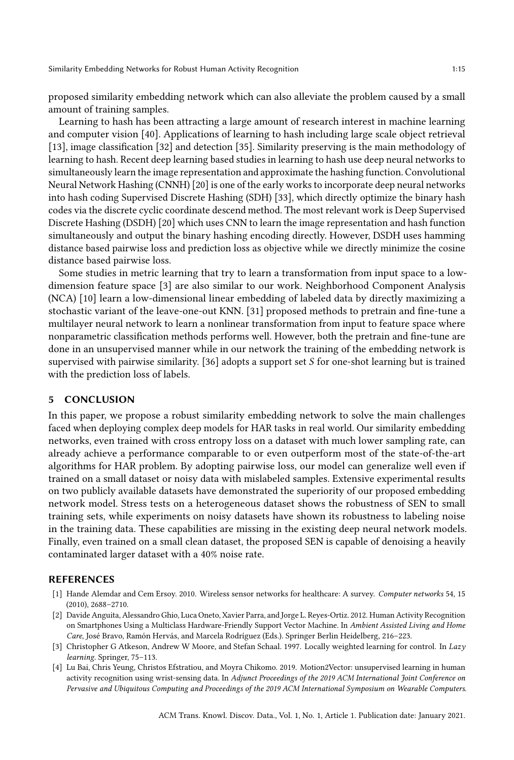proposed similarity embedding network which can also alleviate the problem caused by a small amount of training samples.

Learning to hash has been attracting a large amount of research interest in machine learning and computer vision [\[40\]](#page-16-8). Applications of learning to hash including large scale object retrieval [\[13\]](#page-15-21), image classification [\[32\]](#page-16-14) and detection [\[35\]](#page-16-15). Similarity preserving is the main methodology of learning to hash. Recent deep learning based studies in learning to hash use deep neural networks to simultaneously learn the image representation and approximate the hashing function. Convolutional Neural Network Hashing (CNNH) [20] is one of the early works to incorporate deep neural networks into hash coding Supervised Discrete Hashing (SDH) [\[33\]](#page-16-16), which directly optimize the binary hash codes via the discrete cyclic coordinate descend method. The most relevant work is Deep Supervised Discrete Hashing (DSDH) [\[20\]](#page-15-13) which uses CNN to learn the image representation and hash function simultaneously and output the binary hashing encoding directly. However, DSDH uses hamming distance based pairwise loss and prediction loss as objective while we directly minimize the cosine distance based pairwise loss.

Some studies in metric learning that try to learn a transformation from input space to a lowdimension feature space [\[3\]](#page-14-4) are also similar to our work. Neighborhood Component Analysis (NCA) [\[10\]](#page-15-22) learn a low-dimensional linear embedding of labeled data by directly maximizing a stochastic variant of the leave-one-out KNN. [\[31\]](#page-16-17) proposed methods to pretrain and fine-tune a multilayer neural network to learn a nonlinear transformation from input to feature space where nonparametric classification methods performs well. However, both the pretrain and fine-tune are done in an unsupervised manner while in our network the training of the embedding network is supervised with pairwise similarity. [\[36\]](#page-16-9) adopts a support set  $S$  for one-shot learning but is trained with the prediction loss of labels.

#### <span id="page-14-2"></span>5 CONCLUSION

In this paper, we propose a robust similarity embedding network to solve the main challenges faced when deploying complex deep models for HAR tasks in real world. Our similarity embedding networks, even trained with cross entropy loss on a dataset with much lower sampling rate, can already achieve a performance comparable to or even outperform most of the state-of-the-art algorithms for HAR problem. By adopting pairwise loss, our model can generalize well even if trained on a small dataset or noisy data with mislabeled samples. Extensive experimental results on two publicly available datasets have demonstrated the superiority of our proposed embedding network model. Stress tests on a heterogeneous dataset shows the robustness of SEN to small training sets, while experiments on noisy datasets have shown its robustness to labeling noise in the training data. These capabilities are missing in the existing deep neural network models. Finally, even trained on a small clean dataset, the proposed SEN is capable of denoising a heavily contaminated larger dataset with a 40% noise rate.

#### REFERENCES

- <span id="page-14-0"></span>[1] Hande Alemdar and Cem Ersoy. 2010. Wireless sensor networks for healthcare: A survey. Computer networks 54, 15 (2010), 2688–2710.
- <span id="page-14-1"></span>[2] Davide Anguita, Alessandro Ghio, Luca Oneto, Xavier Parra, and Jorge L. Reyes-Ortiz. 2012. Human Activity Recognition on Smartphones Using a Multiclass Hardware-Friendly Support Vector Machine. In Ambient Assisted Living and Home Care, José Bravo, Ramón Hervás, and Marcela Rodríguez (Eds.). Springer Berlin Heidelberg, 216–223.
- <span id="page-14-4"></span>[3] Christopher G Atkeson, Andrew W Moore, and Stefan Schaal. 1997. Locally weighted learning for control. In Lazy learning. Springer, 75–113.
- <span id="page-14-3"></span>[4] Lu Bai, Chris Yeung, Christos Efstratiou, and Moyra Chikomo. 2019. Motion2Vector: unsupervised learning in human activity recognition using wrist-sensing data. In Adjunct Proceedings of the 2019 ACM International Joint Conference on Pervasive and Ubiquitous Computing and Proceedings of the 2019 ACM International Symposium on Wearable Computers.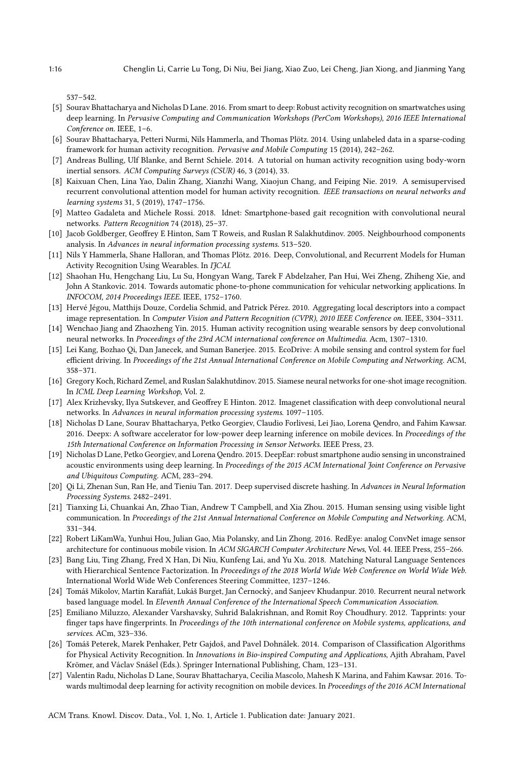537–542.

- <span id="page-15-9"></span>[5] Sourav Bhattacharya and Nicholas D Lane. 2016. From smart to deep: Robust activity recognition on smartwatches using deep learning. In Pervasive Computing and Communication Workshops (PerCom Workshops), 2016 IEEE International Conference on. IEEE, 1–6.
- <span id="page-15-15"></span>[6] Sourav Bhattacharya, Petteri Nurmi, Nils Hammerla, and Thomas Plötz. 2014. Using unlabeled data in a sparse-coding framework for human activity recognition. Pervasive and Mobile Computing 15 (2014), 242–262.
- <span id="page-15-5"></span>[7] Andreas Bulling, Ulf Blanke, and Bernt Schiele. 2014. A tutorial on human activity recognition using body-worn inertial sensors. ACM Computing Surveys (CSUR) 46, 3 (2014), 33.
- <span id="page-15-20"></span>[8] Kaixuan Chen, Lina Yao, Dalin Zhang, Xianzhi Wang, Xiaojun Chang, and Feiping Nie. 2019. A semisupervised recurrent convolutional attention model for human activity recognition. IEEE transactions on neural networks and learning systems 31, 5 (2019), 1747–1756.
- <span id="page-15-17"></span>[9] Matteo Gadaleta and Michele Rossi. 2018. Idnet: Smartphone-based gait recognition with convolutional neural networks. Pattern Recognition 74 (2018), 25–37.
- <span id="page-15-22"></span>[10] Jacob Goldberger, Geoffrey E Hinton, Sam T Roweis, and Ruslan R Salakhutdinov. 2005. Neighbourhood components analysis. In Advances in neural information processing systems. 513–520.
- <span id="page-15-14"></span>[11] Nils Y Hammerla, Shane Halloran, and Thomas Plötz. 2016. Deep, Convolutional, and Recurrent Models for Human Activity Recognition Using Wearables. In IJCAI.
- <span id="page-15-2"></span>[12] Shaohan Hu, Hengchang Liu, Lu Su, Hongyan Wang, Tarek F Abdelzaher, Pan Hui, Wei Zheng, Zhiheng Xie, and John A Stankovic. 2014. Towards automatic phone-to-phone communication for vehicular networking applications. In INFOCOM, 2014 Proceedings IEEE. IEEE, 1752–1760.
- <span id="page-15-21"></span>[13] Hervé Jégou, Matthijs Douze, Cordelia Schmid, and Patrick Pérez. 2010. Aggregating local descriptors into a compact image representation. In Computer Vision and Pattern Recognition (CVPR), 2010 IEEE Conference on. IEEE, 3304-3311.
- <span id="page-15-11"></span>[14] Wenchao Jiang and Zhaozheng Yin. 2015. Human activity recognition using wearable sensors by deep convolutional neural networks. In Proceedings of the 23rd ACM international conference on Multimedia. Acm, 1307–1310.
- <span id="page-15-3"></span>[15] Lei Kang, Bozhao Qi, Dan Janecek, and Suman Banerjee. 2015. EcoDrive: A mobile sensing and control system for fuel efficient driving. In Proceedings of the 21st Annual International Conference on Mobile Computing and Networking. ACM, 358–371.
- <span id="page-15-12"></span>[16] Gregory Koch, Richard Zemel, and Ruslan Salakhutdinov. 2015. Siamese neural networks for one-shot image recognition. In ICML Deep Learning Workshop, Vol. 2.
- <span id="page-15-6"></span>[17] Alex Krizhevsky, Ilya Sutskever, and Geoffrey E Hinton. 2012. Imagenet classification with deep convolutional neural networks. In Advances in neural information processing systems. 1097–1105.
- <span id="page-15-18"></span>[18] Nicholas D Lane, Sourav Bhattacharya, Petko Georgiev, Claudio Forlivesi, Lei Jiao, Lorena Qendro, and Fahim Kawsar. 2016. Deepx: A software accelerator for low-power deep learning inference on mobile devices. In Proceedings of the 15th International Conference on Information Processing in Sensor Networks. IEEE Press, 23.
- <span id="page-15-16"></span>[19] Nicholas D Lane, Petko Georgiev, and Lorena Qendro. 2015. DeepEar: robust smartphone audio sensing in unconstrained acoustic environments using deep learning. In Proceedings of the 2015 ACM International Joint Conference on Pervasive and Ubiquitous Computing. ACM, 283–294.
- <span id="page-15-13"></span>[20] Qi Li, Zhenan Sun, Ran He, and Tieniu Tan. 2017. Deep supervised discrete hashing. In Advances in Neural Information Processing Systems. 2482–2491.
- <span id="page-15-1"></span>[21] Tianxing Li, Chuankai An, Zhao Tian, Andrew T Campbell, and Xia Zhou. 2015. Human sensing using visible light communication. In Proceedings of the 21st Annual International Conference on Mobile Computing and Networking. ACM, 331–344.
- <span id="page-15-19"></span>[22] Robert LiKamWa, Yunhui Hou, Julian Gao, Mia Polansky, and Lin Zhong. 2016. RedEye: analog ConvNet image sensor architecture for continuous mobile vision. In ACM SIGARCH Computer Architecture News, Vol. 44. IEEE Press, 255–266.
- <span id="page-15-7"></span>[23] Bang Liu, Ting Zhang, Fred X Han, Di Niu, Kunfeng Lai, and Yu Xu. 2018. Matching Natural Language Sentences with Hierarchical Sentence Factorization. In Proceedings of the 2018 World Wide Web Conference on World Wide Web. International World Wide Web Conferences Steering Committee, 1237–1246.
- <span id="page-15-8"></span>[24] Tomáš Mikolov, Martin Karafiát, Lukáš Burget, Jan Černocky, and Sanjeev Khudanpur. 2010. Recurrent neural network ` based language model. In Eleventh Annual Conference of the International Speech Communication Association.
- <span id="page-15-0"></span>[25] Emiliano Miluzzo, Alexander Varshavsky, Suhrid Balakrishnan, and Romit Roy Choudhury. 2012. Tapprints: your finger taps have fingerprints. In Proceedings of the 10th international conference on Mobile systems, applications, and services. ACm, 323–336.
- <span id="page-15-4"></span>[26] Tomáš Peterek, Marek Penhaker, Petr Gajdoš, and Pavel Dohnálek. 2014. Comparison of Classification Algorithms for Physical Activity Recognition. In Innovations in Bio-inspired Computing and Applications, Ajith Abraham, Pavel Krömer, and Václav Snášel (Eds.). Springer International Publishing, Cham, 123–131.
- <span id="page-15-10"></span>[27] Valentin Radu, Nicholas D Lane, Sourav Bhattacharya, Cecilia Mascolo, Mahesh K Marina, and Fahim Kawsar. 2016. Towards multimodal deep learning for activity recognition on mobile devices. In Proceedings of the 2016 ACM International